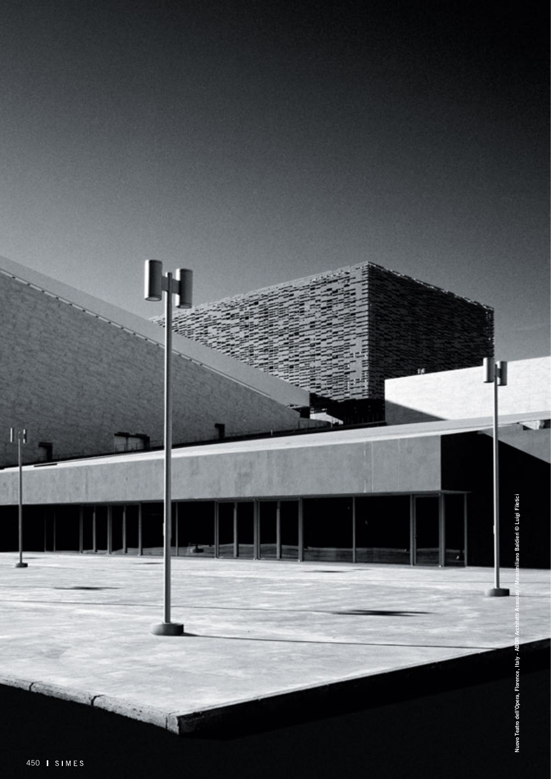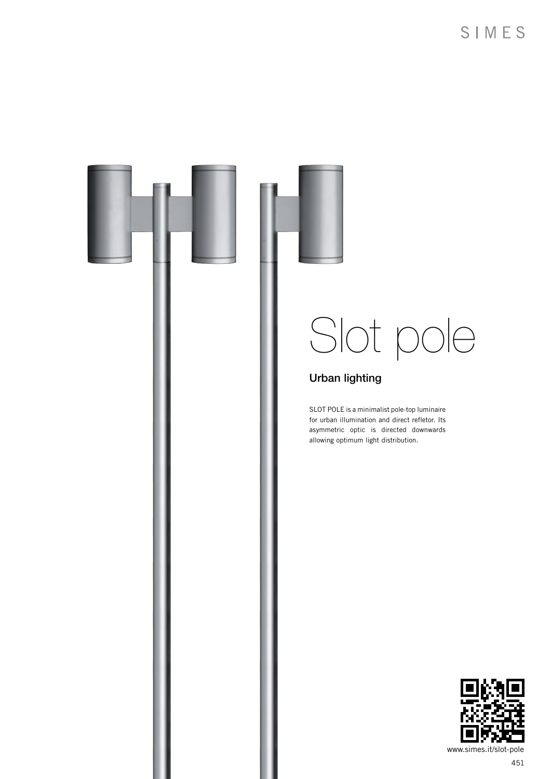

451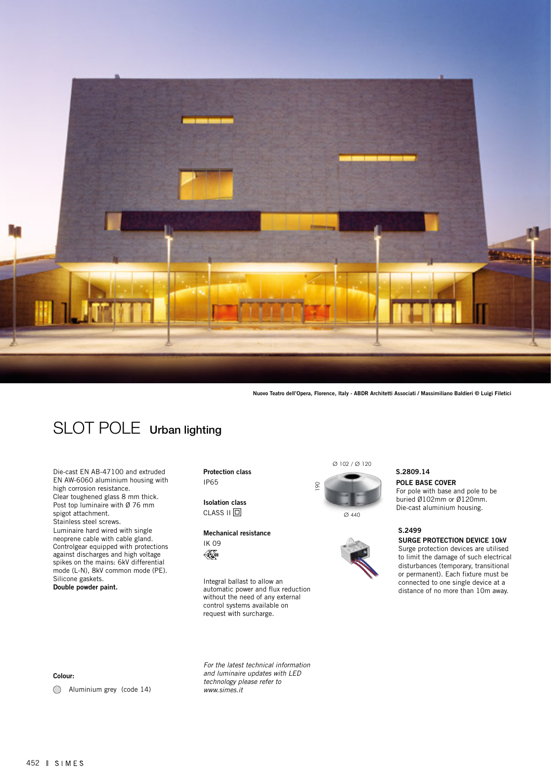

Nuovo Teatro dell'Opera, Florence, Italy - ABDR Architetti Associati / Massimiliano Baldieri © Luigi Filetici

## SLOT POLE Urban lighting

Die-cast EN AB-47100 and extruded EN AW-6060 aluminium housing with high corrosion resistance. Clear toughened glass 8 mm thick. Post top luminaire with Ø 76 mm spigot attachment. Stainless steel screws. Luminaire hard wired with single neoprene cable with cable gland. Controlgear equipped with protections against discharges and high voltage spikes on the mains: 6kV differential mode (L-N), 8kV common mode (PE). Silicone gaskets. Double powder paint.

Protection class IP65

Isolation class  $CLASS II  $\Box$$ 

Mechanical resistance IK 09  $\mathscr{K}_{\hspace{-1pt}\scriptscriptstyle{\mathsf{0}}}$ 

Integral ballast to allow an automatic power and flux reduction without the need of any external control systems available on request with surcharge.

*For the latest technical information and luminaire updates with LED technology please refer to www.simes.it* 

Ø 102 / Ø 120



Ø 440



POLE BASE COVER For pole with base and pole to be S.2809.14

buried Ø102mm or Ø120mm. Die-cast aluminium housing.

### S.2499

SURGE PROTECTION DEVICE 10kV

Surge protection devices are utilised to limit the damage of such electrical disturbances (temporary, transitional or permanent). Each fixture must be connected to one single device at a distance of no more than 10m away.

Colour:

Aluminium grey (code 14)